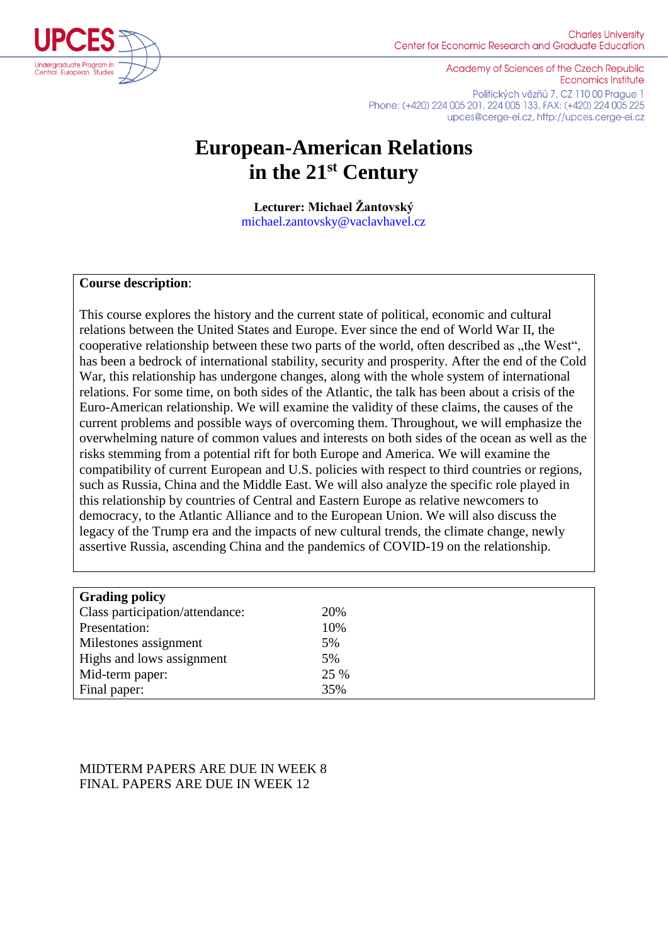

Academy of Sciences of the Czech Republic **Economics Institute** Politických vězňů 7, CZ 110 00 Prague 1 Phone: (+420) 224 005 201, 224 005 133, FAX: (+420) 224 005 225 upces@cerge-ei.cz, http://upces.cerge-ei.cz

# **European-American Relations in the 21st Century**

**Lecturer: Michael Žantovský** michael.zantovsky@vaclavhavel.cz

### **Course description**:

This course explores the history and the current state of political, economic and cultural relations between the United States and Europe. Ever since the end of World War II, the cooperative relationship between these two parts of the world, often described as "the West", has been a bedrock of international stability, security and prosperity. After the end of the Cold War, this relationship has undergone changes, along with the whole system of international relations. For some time, on both sides of the Atlantic, the talk has been about a crisis of the Euro-American relationship. We will examine the validity of these claims, the causes of the current problems and possible ways of overcoming them. Throughout, we will emphasize the overwhelming nature of common values and interests on both sides of the ocean as well as the risks stemming from a potential rift for both Europe and America. We will examine the compatibility of current European and U.S. policies with respect to third countries or regions, such as Russia, China and the Middle East. We will also analyze the specific role played in this relationship by countries of Central and Eastern Europe as relative newcomers to democracy, to the Atlantic Alliance and to the European Union. We will also discuss the legacy of the Trump era and the impacts of new cultural trends, the climate change, newly assertive Russia, ascending China and the pandemics of COVID-19 on the relationship.

| <b>Grading policy</b>           |      |
|---------------------------------|------|
| Class participation/attendance: | 20%  |
| Presentation:                   | 10%  |
| Milestones assignment           | 5%   |
| Highs and lows assignment       | 5%   |
| Mid-term paper:                 | 25 % |
| Final paper:                    | 35%  |

## MIDTERM PAPERS ARE DUE IN WEEK 8 FINAL PAPERS ARE DUE IN WEEK 12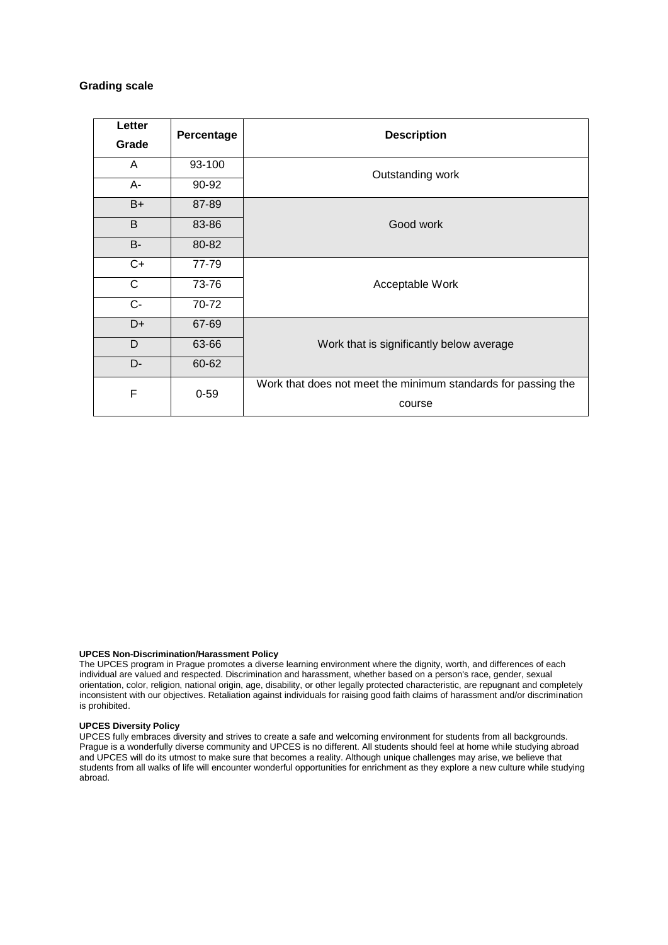#### **Grading scale**

| Letter    | Percentage | <b>Description</b>                                            |  |
|-----------|------------|---------------------------------------------------------------|--|
| Grade     |            |                                                               |  |
| A         | 93-100     | Outstanding work                                              |  |
| A-        | 90-92      |                                                               |  |
| $B+$      | 87-89      | Good work                                                     |  |
| B         | 83-86      |                                                               |  |
| <b>B-</b> | 80-82      |                                                               |  |
| $C+$      | 77-79      | Acceptable Work                                               |  |
| C         | 73-76      |                                                               |  |
| $C -$     | 70-72      |                                                               |  |
| D+        | 67-69      | Work that is significantly below average                      |  |
| D         | 63-66      |                                                               |  |
| D-        | 60-62      |                                                               |  |
| F         | $0 - 59$   | Work that does not meet the minimum standards for passing the |  |
|           | course     |                                                               |  |

#### **UPCES Non-Discrimination/Harassment Policy**

The UPCES program in Prague promotes a diverse learning environment where the dignity, worth, and differences of each individual are valued and respected. Discrimination and harassment, whether based on a person's race, gender, sexual orientation, color, religion, national origin, age, disability, or other legally protected characteristic, are repugnant and completely inconsistent with our objectives. Retaliation against individuals for raising good faith claims of harassment and/or discrimination is prohibited.

#### **UPCES Diversity Policy**

UPCES fully embraces diversity and strives to create a safe and welcoming environment for students from all backgrounds. Prague is a wonderfully diverse community and UPCES is no different. All students should feel at home while studying abroad and UPCES will do its utmost to make sure that becomes a reality. Although unique challenges may arise, we believe that students from all walks of life will encounter wonderful opportunities for enrichment as they explore a new culture while studying abroad.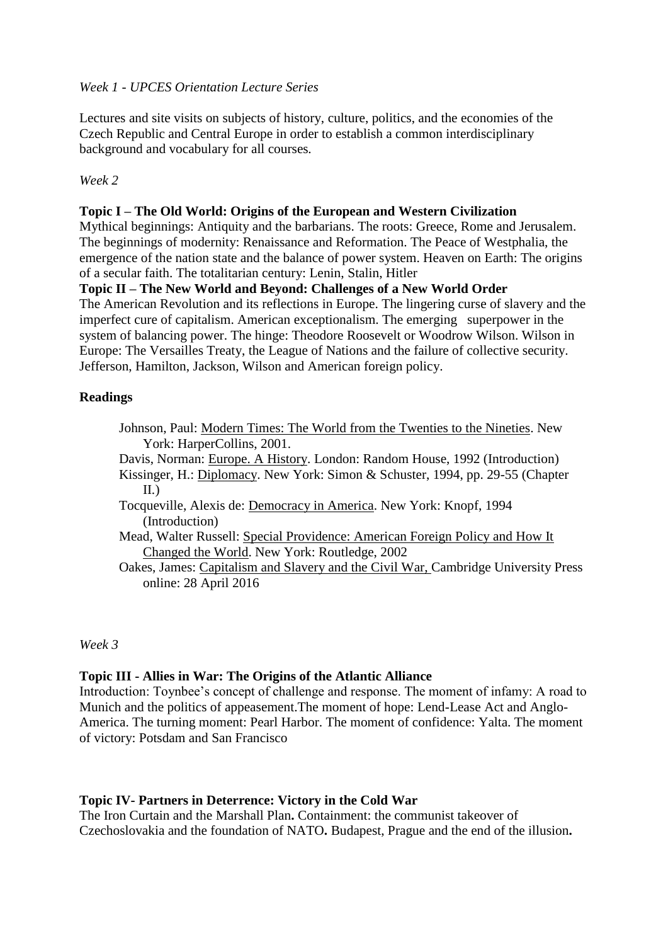## *Week 1 - UPCES Orientation Lecture Series*

Lectures and site visits on subjects of history, culture, politics, and the economies of the Czech Republic and Central Europe in order to establish a common interdisciplinary background and vocabulary for all courses*.*

## *Week 2*

## **Topic I – The Old World: Origins of the European and Western Civilization**

Mythical beginnings: Antiquity and the barbarians. The roots: Greece, Rome and Jerusalem. The beginnings of modernity: Renaissance and Reformation. The Peace of Westphalia, the emergence of the nation state and the balance of power system. Heaven on Earth: The origins of a secular faith. The totalitarian century: Lenin, Stalin, Hitler

## **Topic II – The New World and Beyond: Challenges of a New World Order**

The American Revolution and its reflections in Europe. The lingering curse of slavery and the imperfect cure of capitalism. American exceptionalism. The emerging superpower in the system of balancing power. The hinge: Theodore Roosevelt or Woodrow Wilson. Wilson in Europe: The Versailles Treaty, the League of Nations and the failure of collective security. Jefferson, Hamilton, Jackson, Wilson and American foreign policy.

## **Readings**

- Johnson, Paul: Modern Times: The World from the Twenties to the Nineties. New York: HarperCollins, 2001.
- Davis, Norman: Europe. A History. London: Random House, 1992 (Introduction) Kissinger, H.: Diplomacy. New York: Simon & Schuster, 1994, pp. 29-55 (Chapter II.)
- Tocqueville, Alexis de: Democracy in America. New York: Knopf, 1994 (Introduction)
- Mead, Walter Russell: Special Providence: American Foreign Policy and How It Changed the World. New York: Routledge, 2002

Oakes, James: Capitalism and Slavery and the Civil War, Cambridge University Press online: 28 April 2016

*Week 3*

### **Topic III - Allies in War: The Origins of the Atlantic Alliance**

Introduction: Toynbee's concept of challenge and response. The moment of infamy: A road to Munich and the politics of appeasement.The moment of hope: Lend-Lease Act and Anglo-America. The turning moment: Pearl Harbor. The moment of confidence: Yalta. The moment of victory: Potsdam and San Francisco

### **Topic IV- Partners in Deterrence: Victory in the Cold War**

The Iron Curtain and the Marshall Plan**.** Containment: the communist takeover of Czechoslovakia and the foundation of NATO**.** Budapest, Prague and the end of the illusion**.**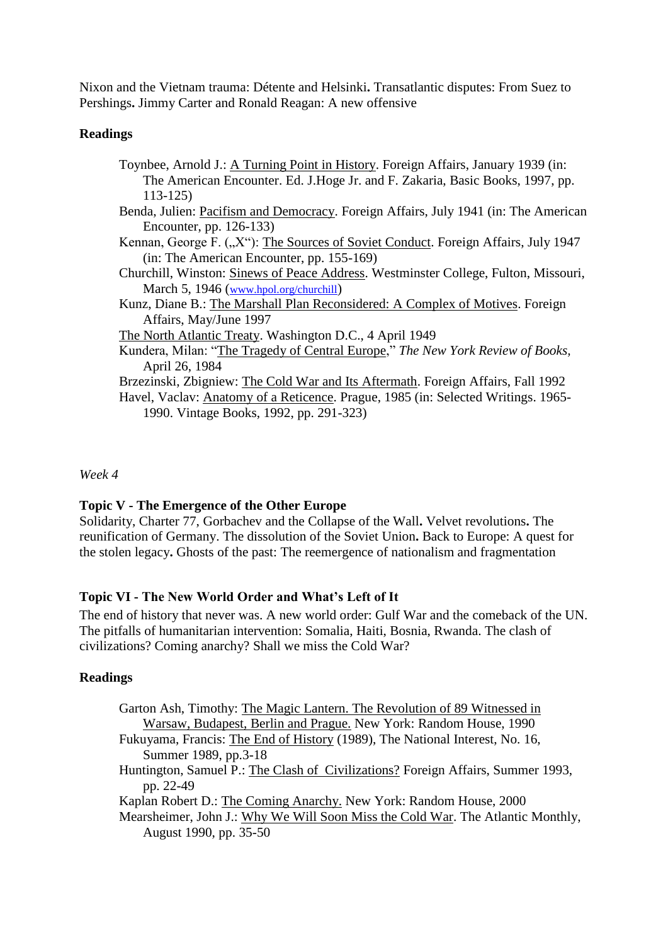Nixon and the Vietnam trauma: Détente and Helsinki**.** Transatlantic disputes: From Suez to Pershings**.** Jimmy Carter and Ronald Reagan: A new offensive

## **Readings**

| Toynbee, Arnold J.: A Turning Point in History. Foreign Affairs, January 1939 (in:  |
|-------------------------------------------------------------------------------------|
| The American Encounter. Ed. J. Hoge Jr. and F. Zakaria, Basic Books, 1997, pp.      |
| $113 - 125$                                                                         |
| Benda, Julien: Pacifism and Democracy. Foreign Affairs, July 1941 (in: The American |
| Encounter, pp. 126-133)                                                             |
| Kennan, George F. ("X"): The Sources of Soviet Conduct. Foreign Affairs, July 1947  |
| (in: The American Encounter, pp. 155-169)                                           |
| Churchill, Winston: Sinews of Peace Address. Westminster College, Fulton, Missouri, |
| March 5, 1946 (www.hpol.org/churchill)                                              |
| Kunz, Diane B.: The Marshall Plan Reconsidered: A Complex of Motives. Foreign       |
| Affairs, May/June 1997                                                              |
| The North Atlantic Treaty. Washington D.C., 4 April 1949                            |
| Kundera, Milan: "The Tragedy of Central Europe," The New York Review of Books,      |
| April 26, 1984                                                                      |
| Brzezinski, Zbigniew: The Cold War and Its Aftermath. Foreign Affairs, Fall 1992    |
| Havel, Vaclav: Anatomy of a Reticence. Prague, 1985 (in: Selected Writings. 1965–   |
| 1990. Vintage Books, 1992, pp. 291-323)                                             |
|                                                                                     |

## *Week 4*

## **Topic V - The Emergence of the Other Europe**

Solidarity, Charter 77, Gorbachev and the Collapse of the Wall**.** Velvet revolutions**.** The reunification of Germany. The dissolution of the Soviet Union**.** Back to Europe: A quest for the stolen legacy**.** Ghosts of the past: The reemergence of nationalism and fragmentation

## **Topic VI - The New World Order and What's Left of It**

The end of history that never was. A new world order: Gulf War and the comeback of the UN. The pitfalls of humanitarian intervention: Somalia, Haiti, Bosnia, Rwanda. The clash of civilizations? Coming anarchy? Shall we miss the Cold War?

## **Readings**

| Garton Ash, Timothy: The Magic Lantern. The Revolution of 89 Witnessed in   |
|-----------------------------------------------------------------------------|
| Warsaw, Budapest, Berlin and Prague. New York: Random House, 1990           |
| Eulawama, Francis: The End of History (1000). The National Intersect No. 16 |

Fukuyama, Francis: The End of History (1989), The National Interest, No. 16, Summer 1989, pp.3-18

Huntington, Samuel P.: The Clash of Civilizations? Foreign Affairs, Summer 1993, pp. 22-49

Kaplan Robert D.: The Coming Anarchy. New York: Random House, 2000

Mearsheimer, John J.: Why We Will Soon Miss the Cold War. The Atlantic Monthly, August 1990, pp. 35-50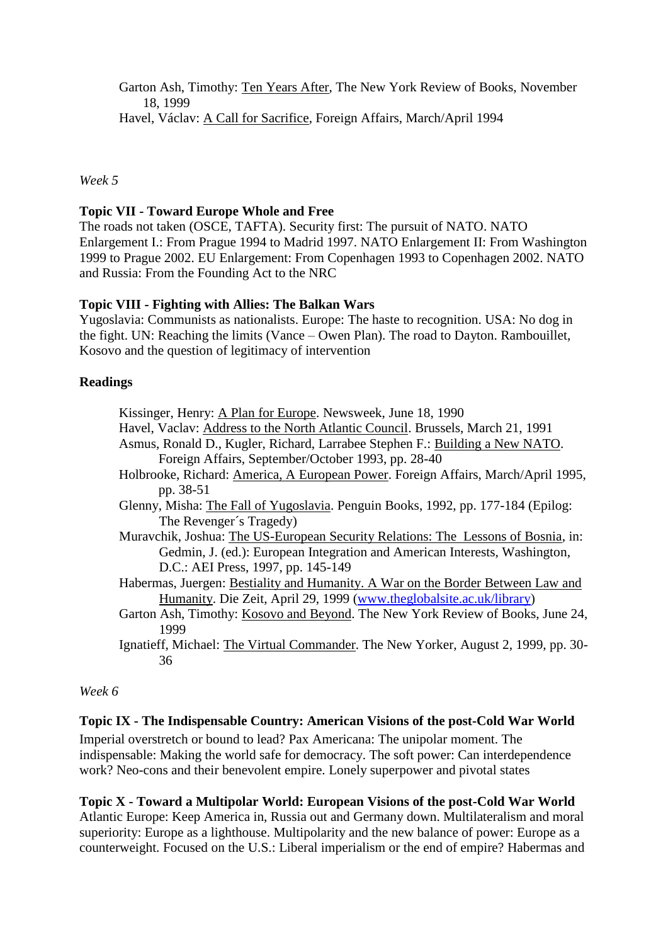Garton Ash, Timothy: Ten Years After, The New York Review of Books, November 18, 1999 Havel, Václav: A Call for Sacrifice, Foreign Affairs, March/April 1994

*Week 5*

## **Topic VII - Toward Europe Whole and Free**

The roads not taken (OSCE, TAFTA). Security first: The pursuit of NATO. NATO Enlargement I.: From Prague 1994 to Madrid 1997. NATO Enlargement II: From Washington 1999 to Prague 2002. EU Enlargement: From Copenhagen 1993 to Copenhagen 2002. NATO and Russia: From the Founding Act to the NRC

## **Topic VIII - Fighting with Allies: The Balkan Wars**

Yugoslavia: Communists as nationalists. Europe: The haste to recognition. USA: No dog in the fight. UN: Reaching the limits (Vance – Owen Plan). The road to Dayton. Rambouillet, Kosovo and the question of legitimacy of intervention

## **Readings**

| Kissinger, Henry: A Plan for Europe. Newsweek, June 18, 1990                      |
|-----------------------------------------------------------------------------------|
| Havel, Vaclav: Address to the North Atlantic Council. Brussels, March 21, 1991    |
| Asmus, Ronald D., Kugler, Richard, Larrabee Stephen F.: Building a New NATO.      |
| Foreign Affairs, September/October 1993, pp. 28-40                                |
| Holbrooke, Richard: America, A European Power. Foreign Affairs, March/April 1995, |
| pp. 38-51                                                                         |
| Glenny, Misha: The Fall of Yugoslavia. Penguin Books, 1992, pp. 177-184 (Epilog:  |
| The Revenger's Tragedy)                                                           |
| Muravchik, Joshua: The US-European Security Relations: The Lessons of Bosnia, in: |
| Gedmin, J. (ed.): European Integration and American Interests, Washington,        |
| D.C.: AEI Press, 1997, pp. 145-149                                                |
| Habermas, Juergen: Bestiality and Humanity. A War on the Border Between Law and   |
| Humanity. Die Zeit, April 29, 1999 (www.theglobalsite.ac.uk/library)              |
| Garton Ash, Timothy: Kosovo and Beyond. The New York Review of Books, June 24,    |
|                                                                                   |

1999 Ignatieff, Michael: The Virtual Commander. The New Yorker, August 2, 1999, pp. 30- 36

### *Week 6*

### **Topic IX - The Indispensable Country: American Visions of the post-Cold War World**

Imperial overstretch or bound to lead? Pax Americana: The unipolar moment. The indispensable: Making the world safe for democracy. The soft power: Can interdependence work? Neo-cons and their benevolent empire. Lonely superpower and pivotal states

### **Topic X - Toward a Multipolar World: European Visions of the post-Cold War World**

Atlantic Europe: Keep America in, Russia out and Germany down. Multilateralism and moral superiority: Europe as a lighthouse. Multipolarity and the new balance of power: Europe as a counterweight. Focused on the U.S.: Liberal imperialism or the end of empire? Habermas and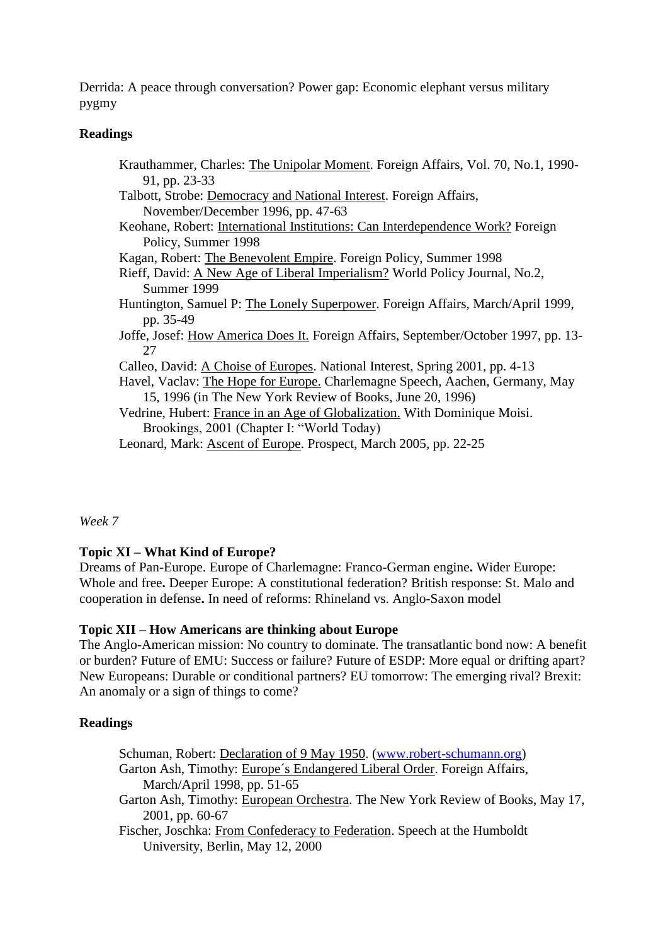Derrida: A peace through conversation? Power gap: Economic elephant versus military pygmy

## **Readings**

Krauthammer, Charles: The Unipolar Moment. Foreign Affairs, Vol. 70, No.1, 1990- 91, pp. 23-33 Talbott, Strobe: Democracy and National Interest. Foreign Affairs, November/December 1996, pp. 47-63 Keohane, Robert: International Institutions: Can Interdependence Work? Foreign Policy, Summer 1998 Kagan, Robert: The Benevolent Empire. Foreign Policy, Summer 1998 Rieff, David: A New Age of Liberal Imperialism? World Policy Journal, No.2, Summer 1999 Huntington, Samuel P: The Lonely Superpower. Foreign Affairs, March/April 1999, pp. 35-49 Joffe, Josef: How America Does It. Foreign Affairs, September/October 1997, pp. 13- 27 Calleo, David: A Choise of Europes. National Interest, Spring 2001, pp. 4-13 Havel, Vaclav: The Hope for Europe. Charlemagne Speech, Aachen, Germany, May 15, 1996 (in The New York Review of Books, June 20, 1996) Vedrine, Hubert: France in an Age of Globalization. With Dominique Moisi. Brookings, 2001 (Chapter I: "World Today) Leonard, Mark: Ascent of Europe. Prospect, March 2005, pp. 22-25

*Week 7*

# **Topic XI – What Kind of Europe?**

Dreams of Pan-Europe. Europe of Charlemagne: Franco-German engine**.** Wider Europe: Whole and free**.** Deeper Europe: A constitutional federation? British response: St. Malo and cooperation in defense**.** In need of reforms: Rhineland vs. Anglo-Saxon model

## **Topic XII – How Americans are thinking about Europe**

The Anglo-American mission: No country to dominate. The transatlantic bond now: A benefit or burden? Future of EMU: Success or failure? Future of ESDP: More equal or drifting apart? New Europeans: Durable or conditional partners? EU tomorrow: The emerging rival? Brexit: An anomaly or a sign of things to come?

# **Readings**

- Schuman, Robert: Declaration of 9 May 1950. [\(www.robert-schumann.org\)](http://www.robert-schumann.org/)
- Garton Ash, Timothy: Europe´s Endangered Liberal Order. Foreign Affairs, March/April 1998, pp. 51-65
- Garton Ash, Timothy: European Orchestra. The New York Review of Books, May 17, 2001, pp. 60-67
- Fischer, Joschka: From Confederacy to Federation. Speech at the Humboldt University, Berlin, May 12, 2000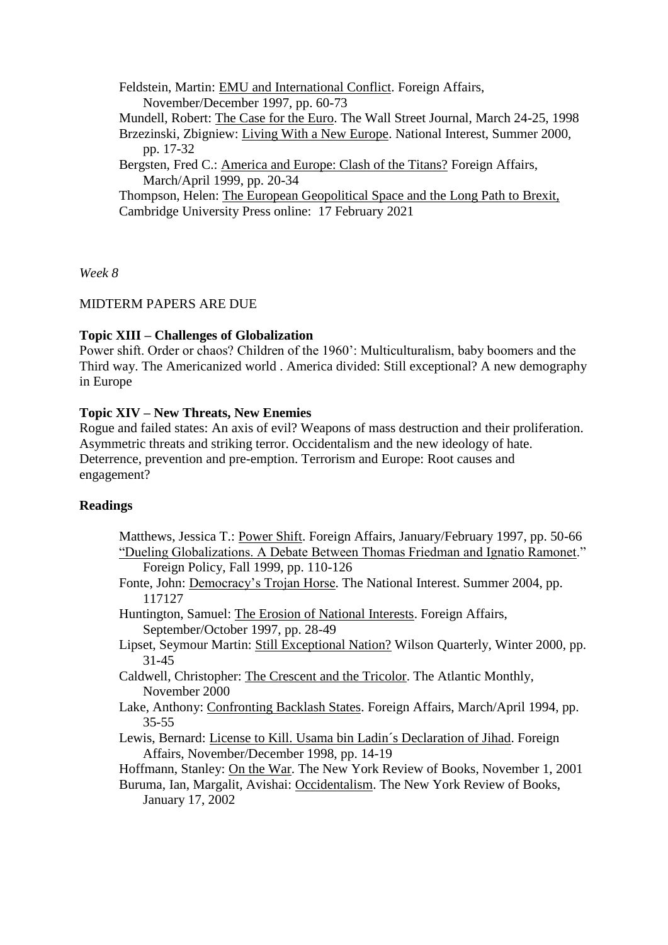Feldstein, Martin: EMU and International Conflict. Foreign Affairs, November/December 1997, pp. 60-73

Mundell, Robert: The Case for the Euro. The Wall Street Journal, March 24-25, 1998

Brzezinski, Zbigniew: Living With a New Europe. National Interest, Summer 2000, pp. 17-32

Bergsten, Fred C.: America and Europe: Clash of the Titans? Foreign Affairs, March/April 1999, pp. 20-34

Thompson, Helen: The European Geopolitical Space and the Long Path to Brexit, Cambridge University Press online: 17 February 2021

*Week 8*

### MIDTERM PAPERS ARE DUE

## **Topic XIII – Challenges of Globalization**

Power shift. Order or chaos? Children of the 1960': Multiculturalism, baby boomers and the Third way. The Americanized world . America divided: Still exceptional? A new demography in Europe

## **Topic XIV – New Threats, New Enemies**

Rogue and failed states: An axis of evil? Weapons of mass destruction and their proliferation. Asymmetric threats and striking terror. Occidentalism and the new ideology of hate. Deterrence, prevention and pre-emption. Terrorism and Europe: Root causes and engagement?

### **Readings**

- Matthews, Jessica T.: Power Shift. Foreign Affairs, January/February 1997, pp. 50-66 "Dueling Globalizations. A Debate Between Thomas Friedman and Ignatio Ramonet." Foreign Policy, Fall 1999, pp. 110-126
- Fonte, John: Democracy's Trojan Horse. The National Interest. Summer 2004, pp. 117127
- Huntington, Samuel: The Erosion of National Interests. Foreign Affairs, September/October 1997, pp. 28-49
- Lipset, Seymour Martin: Still Exceptional Nation? Wilson Quarterly, Winter 2000, pp. 31-45
- Caldwell, Christopher: The Crescent and the Tricolor. The Atlantic Monthly, November 2000
- Lake, Anthony: Confronting Backlash States. Foreign Affairs, March/April 1994, pp. 35-55
- Lewis, Bernard: License to Kill. Usama bin Ladin´s Declaration of Jihad. Foreign Affairs, November/December 1998, pp. 14-19

Hoffmann, Stanley: On the War. The New York Review of Books, November 1, 2001

Buruma, Ian, Margalit, Avishai: Occidentalism. The New York Review of Books, January 17, 2002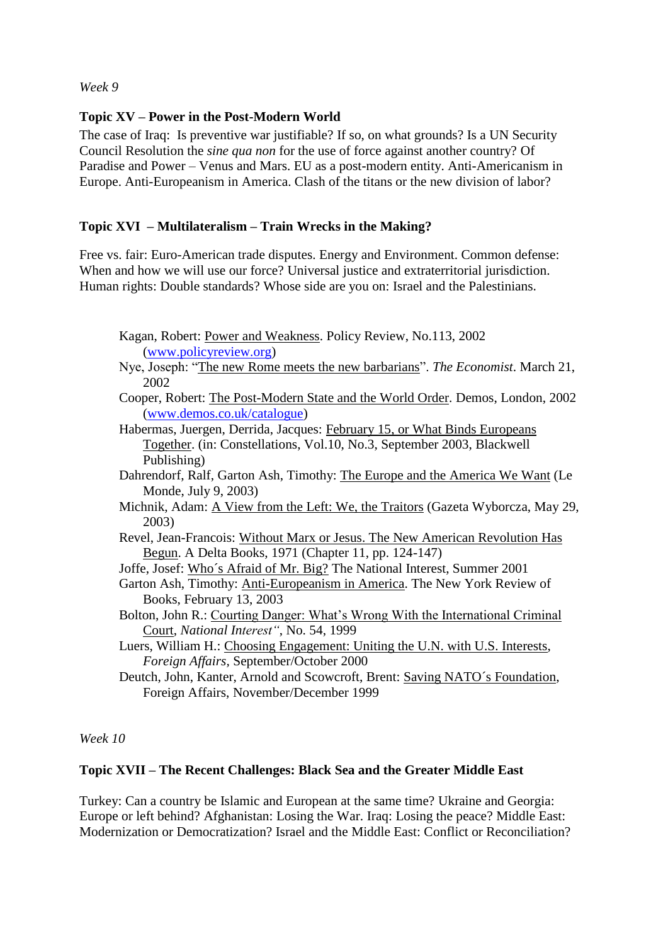*Week 9*

## **Topic XV – Power in the Post-Modern World**

The case of Iraq: Is preventive war justifiable? If so, on what grounds? Is a UN Security Council Resolution the *sine qua non* for the use of force against another country? Of Paradise and Power – Venus and Mars. EU as a post-modern entity. Anti-Americanism in Europe. Anti-Europeanism in America. Clash of the titans or the new division of labor?

## **Topic XVI – Multilateralism – Train Wrecks in the Making?**

Free vs. fair: Euro-American trade disputes. Energy and Environment. Common defense: When and how we will use our force? Universal justice and extraterritorial jurisdiction. Human rights: Double standards? Whose side are you on: Israel and the Palestinians.

- Kagan, Robert: Power and Weakness. Policy Review, No.113, 2002 [\(www.policyreview.org\)](http://www.policyreview.org/)
- Nye, Joseph: "The new Rome meets the new barbarians". *The Economist*. March 21, 2002
- Cooper, Robert: The Post-Modern State and the World Order. Demos, London, 2002 [\(www.demos.co.uk/catalogue\)](http://www.demos.co.uk/catalogue)
- Habermas, Juergen, Derrida, Jacques: February 15, or What Binds Europeans Together. (in: Constellations, Vol.10, No.3, September 2003, Blackwell Publishing)
- Dahrendorf, Ralf, Garton Ash, Timothy: The Europe and the America We Want (Le Monde, July 9, 2003)
- Michnik, Adam: A View from the Left: We, the Traitors (Gazeta Wyborcza, May 29, 2003)
- Revel, Jean-Francois: Without Marx or Jesus. The New American Revolution Has Begun. A Delta Books, 1971 (Chapter 11, pp. 124-147)
- Joffe, Josef: Who´s Afraid of Mr. Big? The National Interest, Summer 2001
- Garton Ash, Timothy: Anti-Europeanism in America. The New York Review of Books, February 13, 2003
- Bolton, John R.: Courting Danger: What's Wrong With the International Criminal Court, *National Interest"*, No. 54, 1999
- Luers, William H.: Choosing Engagement: Uniting the U.N. with U.S. Interests, *Foreign Affairs,* September/October 2000
- Deutch, John, Kanter, Arnold and Scowcroft, Brent: Saving NATO´s Foundation, Foreign Affairs, November/December 1999

## *Week 10*

## **Topic XVII – The Recent Challenges: Black Sea and the Greater Middle East**

Turkey: Can a country be Islamic and European at the same time? Ukraine and Georgia: Europe or left behind? Afghanistan: Losing the War. Iraq: Losing the peace? Middle East: Modernization or Democratization? Israel and the Middle East: Conflict or Reconciliation?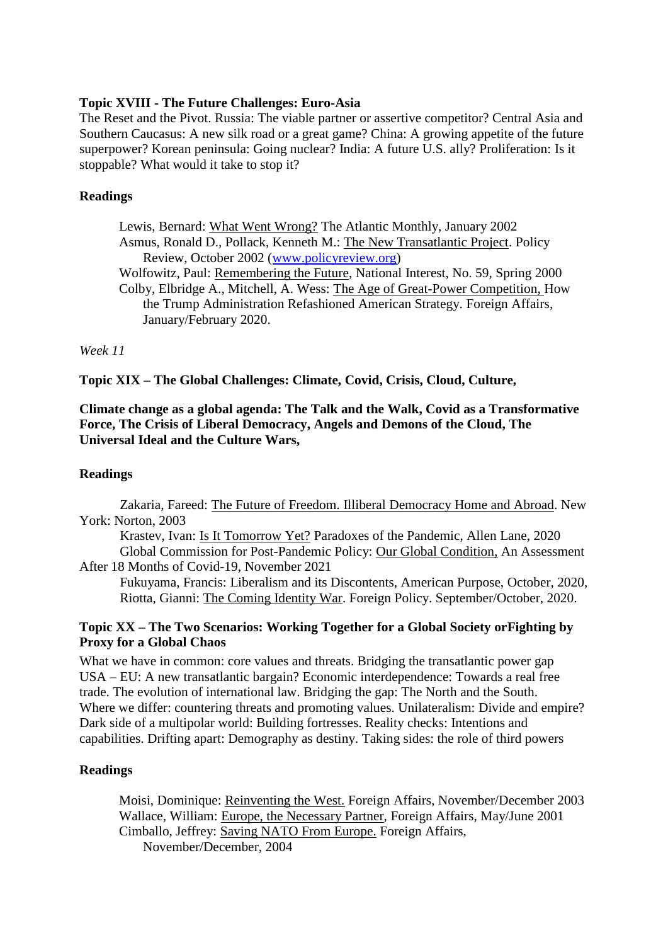## **Topic XVIII - The Future Challenges: Euro-Asia**

The Reset and the Pivot. Russia: The viable partner or assertive competitor? Central Asia and Southern Caucasus: A new silk road or a great game? China: A growing appetite of the future superpower? Korean peninsula: Going nuclear? India: A future U.S. ally? Proliferation: Is it stoppable? What would it take to stop it?

## **Readings**

Lewis, Bernard: What Went Wrong? The Atlantic Monthly, January 2002 Asmus, Ronald D., Pollack, Kenneth M.: The New Transatlantic Project. Policy Review, October 2002 [\(www.policyreview.org\)](http://www.policyreview.org/)

Wolfowitz, Paul: Remembering the Future, National Interest, No. 59*,* Spring 2000 Colby, Elbridge A., Mitchell, A. Wess: The Age of Great-Power Competition, How the Trump Administration Refashioned American Strategy. Foreign Affairs, January/February 2020.

### *Week 11*

**Topic XIX – The Global Challenges: Climate, Covid, Crisis, Cloud, Culture,**

## **Climate change as a global agenda: The Talk and the Walk, Covid as a Transformative Force, The Crisis of Liberal Democracy, Angels and Demons of the Cloud, The Universal Ideal and the Culture Wars,**

## **Readings**

Zakaria, Fareed: The Future of Freedom. Illiberal Democracy Home and Abroad. New York: Norton, 2003

Krastev, Ivan: Is It Tomorrow Yet? Paradoxes of the Pandemic, Allen Lane, 2020 Global Commission for Post-Pandemic Policy: Our Global Condition, An Assessment After 18 Months of Covid-19, November 2021

Fukuyama, Francis: Liberalism and its Discontents, American Purpose, October, 2020, Riotta, Gianni: The Coming Identity War. Foreign Policy. September/October, 2020.

## **Topic XX – The Two Scenarios: Working Together for a Global Society orFighting by Proxy for a Global Chaos**

What we have in common: core values and threats. Bridging the transatlantic power gap USA – EU: A new transatlantic bargain? Economic interdependence: Towards a real free trade. The evolution of international law. Bridging the gap: The North and the South. Where we differ: countering threats and promoting values. Unilateralism: Divide and empire? Dark side of a multipolar world: Building fortresses. Reality checks: Intentions and capabilities. Drifting apart: Demography as destiny. Taking sides: the role of third powers

### **Readings**

Moisi, Dominique: Reinventing the West. Foreign Affairs, November/December 2003 Wallace, William: Europe, the Necessary Partner, Foreign Affairs, May/June 2001 Cimballo, Jeffrey: Saving NATO From Europe. Foreign Affairs, November/December, 2004